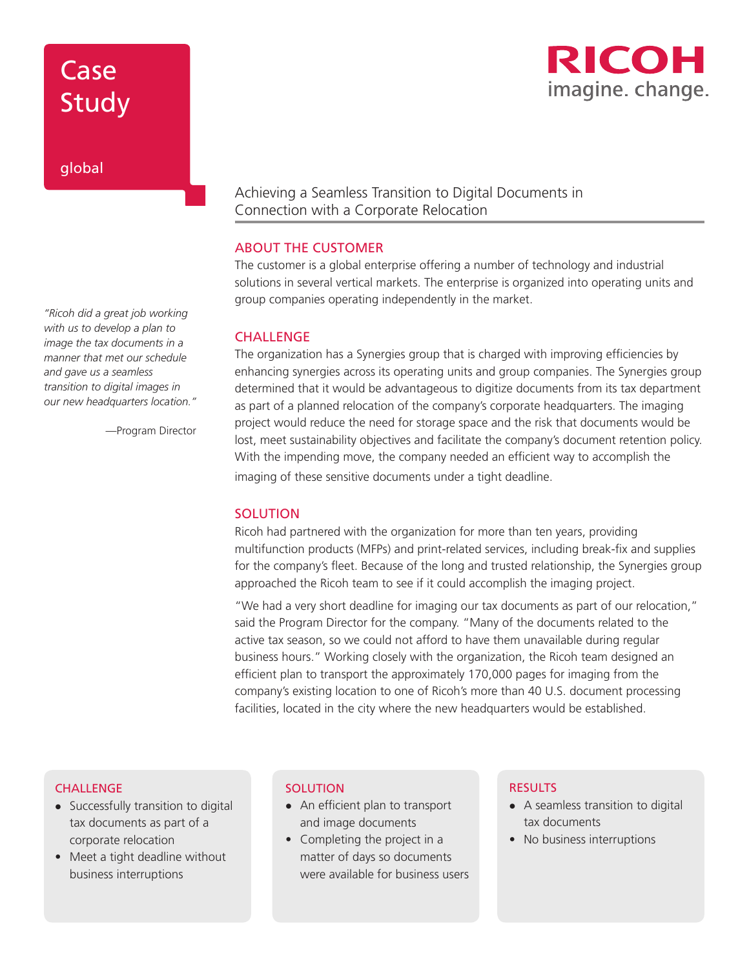## Case Study

#### global

*"Ricoh did a great job working with us to develop a plan to image the tax documents in a manner that met our schedule and gave us a seamless transition to digital images in our new headquarters location."* 

—Program Director

### RICOH imagine. change.

### Achieving a Seamless Transition to Digital Documents in Connection with a Corporate Relocation

#### ABOUT THE CUSTOMER

The customer is a global enterprise offering a number of technology and industrial solutions in several vertical markets. The enterprise is organized into operating units and group companies operating independently in the market.

#### CHALLENGE

The organization has a Synergies group that is charged with improving efficiencies by enhancing synergies across its operating units and group companies. The Synergies group determined that it would be advantageous to digitize documents from its tax department as part of a planned relocation of the company's corporate headquarters. The imaging project would reduce the need for storage space and the risk that documents would be lost, meet sustainability objectives and facilitate the company's document retention policy. With the impending move, the company needed an efficient way to accomplish the imaging of these sensitive documents under a tight deadline.

#### **SOLUTION**

Ricoh had partnered with the organization for more than ten years, providing multifunction products (MFPs) and print-related services, including break-fix and supplies for the company's fleet. Because of the long and trusted relationship, the Synergies group approached the Ricoh team to see if it could accomplish the imaging project.

"We had a very short deadline for imaging our tax documents as part of our relocation," said the Program Director for the company. "Many of the documents related to the active tax season, so we could not afford to have them unavailable during regular business hours." Working closely with the organization, the Ricoh team designed an efficient plan to transport the approximately 170,000 pages for imaging from the company's existing location to one of Ricoh's more than 40 U.S. document processing facilities, located in the city where the new headquarters would be established.

#### **CHALLENGE**

- Successfully transition to digital tax documents as part of a corporate relocation
- Meet a tight deadline without business interruptions

#### **SOLUTION**

- $\bullet$  An efficient plan to transport and image documents
- Completing the project in a matter of days so documents were available for business users

#### **RESULTS**

- A seamless transition to digital tax documents
- No business interruptions